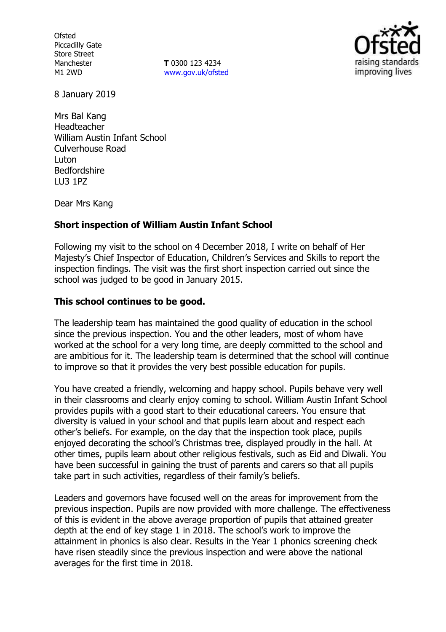**Ofsted** Piccadilly Gate Store Street Manchester M1 2WD

**T** 0300 123 4234 www.gov.uk/ofsted



8 January 2019

Mrs Bal Kang Headteacher William Austin Infant School Culverhouse Road Luton Bedfordshire LU3 1PZ

Dear Mrs Kang

## **Short inspection of William Austin Infant School**

Following my visit to the school on 4 December 2018, I write on behalf of Her Majesty's Chief Inspector of Education, Children's Services and Skills to report the inspection findings. The visit was the first short inspection carried out since the school was judged to be good in January 2015.

## **This school continues to be good.**

The leadership team has maintained the good quality of education in the school since the previous inspection. You and the other leaders, most of whom have worked at the school for a very long time, are deeply committed to the school and are ambitious for it. The leadership team is determined that the school will continue to improve so that it provides the very best possible education for pupils.

You have created a friendly, welcoming and happy school. Pupils behave very well in their classrooms and clearly enjoy coming to school. William Austin Infant School provides pupils with a good start to their educational careers. You ensure that diversity is valued in your school and that pupils learn about and respect each other's beliefs. For example, on the day that the inspection took place, pupils enjoyed decorating the school's Christmas tree, displayed proudly in the hall. At other times, pupils learn about other religious festivals, such as Eid and Diwali. You have been successful in gaining the trust of parents and carers so that all pupils take part in such activities, regardless of their family's beliefs.

Leaders and governors have focused well on the areas for improvement from the previous inspection. Pupils are now provided with more challenge. The effectiveness of this is evident in the above average proportion of pupils that attained greater depth at the end of key stage 1 in 2018. The school's work to improve the attainment in phonics is also clear. Results in the Year 1 phonics screening check have risen steadily since the previous inspection and were above the national averages for the first time in 2018.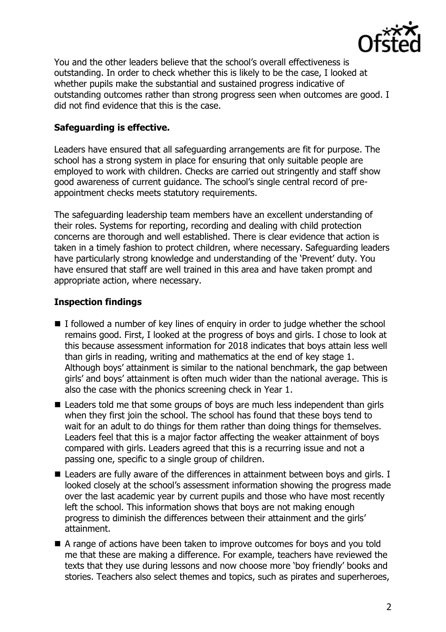

You and the other leaders believe that the school's overall effectiveness is outstanding. In order to check whether this is likely to be the case, I looked at whether pupils make the substantial and sustained progress indicative of outstanding outcomes rather than strong progress seen when outcomes are good. I did not find evidence that this is the case.

## **Safeguarding is effective.**

Leaders have ensured that all safeguarding arrangements are fit for purpose. The school has a strong system in place for ensuring that only suitable people are employed to work with children. Checks are carried out stringently and staff show good awareness of current guidance. The school's single central record of preappointment checks meets statutory requirements.

The safeguarding leadership team members have an excellent understanding of their roles. Systems for reporting, recording and dealing with child protection concerns are thorough and well established. There is clear evidence that action is taken in a timely fashion to protect children, where necessary. Safeguarding leaders have particularly strong knowledge and understanding of the 'Prevent' duty. You have ensured that staff are well trained in this area and have taken prompt and appropriate action, where necessary.

# **Inspection findings**

- $\blacksquare$  I followed a number of key lines of enquiry in order to judge whether the school remains good. First, I looked at the progress of boys and girls. I chose to look at this because assessment information for 2018 indicates that boys attain less well than girls in reading, writing and mathematics at the end of key stage 1. Although boys' attainment is similar to the national benchmark, the gap between girls' and boys' attainment is often much wider than the national average. This is also the case with the phonics screening check in Year 1.
- Leaders told me that some groups of boys are much less independent than girls when they first join the school. The school has found that these boys tend to wait for an adult to do things for them rather than doing things for themselves. Leaders feel that this is a major factor affecting the weaker attainment of boys compared with girls. Leaders agreed that this is a recurring issue and not a passing one, specific to a single group of children.
- Leaders are fully aware of the differences in attainment between boys and girls. I looked closely at the school's assessment information showing the progress made over the last academic year by current pupils and those who have most recently left the school. This information shows that boys are not making enough progress to diminish the differences between their attainment and the girls' attainment.
- A range of actions have been taken to improve outcomes for boys and you told me that these are making a difference. For example, teachers have reviewed the texts that they use during lessons and now choose more 'boy friendly' books and stories. Teachers also select themes and topics, such as pirates and superheroes,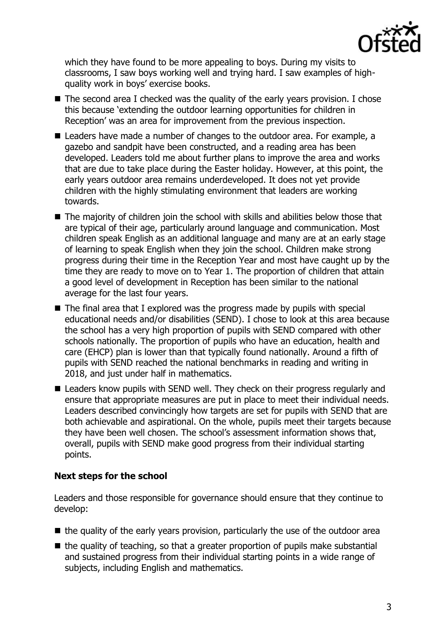

which they have found to be more appealing to boys. During my visits to classrooms, I saw boys working well and trying hard. I saw examples of highquality work in boys' exercise books.

- $\blacksquare$  The second area I checked was the quality of the early years provision. I chose this because 'extending the outdoor learning opportunities for children in Reception' was an area for improvement from the previous inspection.
- Leaders have made a number of changes to the outdoor area. For example, a gazebo and sandpit have been constructed, and a reading area has been developed. Leaders told me about further plans to improve the area and works that are due to take place during the Easter holiday. However, at this point, the early years outdoor area remains underdeveloped. It does not yet provide children with the highly stimulating environment that leaders are working towards.
- $\blacksquare$  The majority of children join the school with skills and abilities below those that are typical of their age, particularly around language and communication. Most children speak English as an additional language and many are at an early stage of learning to speak English when they join the school. Children make strong progress during their time in the Reception Year and most have caught up by the time they are ready to move on to Year 1. The proportion of children that attain a good level of development in Reception has been similar to the national average for the last four years.
- $\blacksquare$  The final area that I explored was the progress made by pupils with special educational needs and/or disabilities (SEND). I chose to look at this area because the school has a very high proportion of pupils with SEND compared with other schools nationally. The proportion of pupils who have an education, health and care (EHCP) plan is lower than that typically found nationally. Around a fifth of pupils with SEND reached the national benchmarks in reading and writing in 2018, and just under half in mathematics.
- Leaders know pupils with SEND well. They check on their progress regularly and ensure that appropriate measures are put in place to meet their individual needs. Leaders described convincingly how targets are set for pupils with SEND that are both achievable and aspirational. On the whole, pupils meet their targets because they have been well chosen. The school's assessment information shows that, overall, pupils with SEND make good progress from their individual starting points.

# **Next steps for the school**

Leaders and those responsible for governance should ensure that they continue to develop:

- $\blacksquare$  the quality of the early years provision, particularly the use of the outdoor area
- $\blacksquare$  the quality of teaching, so that a greater proportion of pupils make substantial and sustained progress from their individual starting points in a wide range of subjects, including English and mathematics.